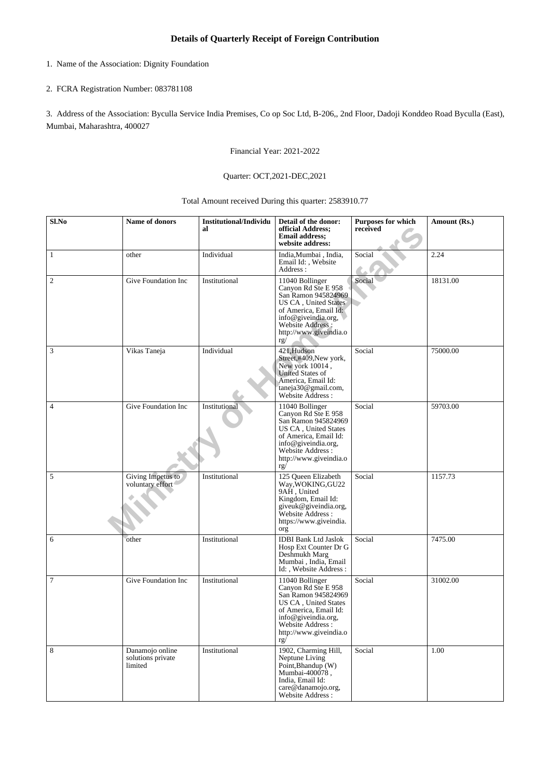- 1. Name of the Association: Dignity Foundation
- 2. FCRA Registration Number: 083781108

3. Address of the Association: Byculla Service India Premises, Co op Soc Ltd, B-206,, 2nd Floor, Dadoji Konddeo Road Byculla (East), Mumbai, Maharashtra, 400027

Financial Year: 2021-2022

## Quarter: OCT,2021-DEC,2021

## Total Amount received During this quarter: 2583910.77

| Sl.No          | Name of donors                                  | <b>Institutional/Individu</b><br>al | Detail of the donor:<br>official Address;<br><b>Email address;</b><br>website address:                                                                                                      | <b>Purposes for which</b><br>received | Amount (Rs.) |
|----------------|-------------------------------------------------|-------------------------------------|---------------------------------------------------------------------------------------------------------------------------------------------------------------------------------------------|---------------------------------------|--------------|
| $\mathbf{1}$   | other                                           | Individual                          | India, Mumbai, India,<br>Email Id:, Website<br>Address:                                                                                                                                     | Social                                | 2.24         |
| $\overline{c}$ | Give Foundation Inc                             | Institutional                       | 11040 Bollinger<br>Canyon Rd Ste E 958<br>San Ramon 945824969<br>US CA, United States<br>of America, Email Id:<br>info@giveindia.org,<br>Website Address:<br>http://www.giveindia.o<br>rg/  | Social                                | 18131.00     |
| 3              | Vikas Taneja                                    | Individual                          | 421, Hudson<br>Street,#409,New york,<br>New york 10014,<br>United States of<br>America, Email Id:<br>taneja30@gmail.com,<br>Website Address:                                                | Social                                | 75000.00     |
| $\overline{4}$ | Give Foundation Inc                             | Institutional                       | 11040 Bollinger<br>Canyon Rd Ste E 958<br>San Ramon 945824969<br>US CA, United States<br>of America, Email Id:<br>info@giveindia.org,<br>Website Address :<br>http://www.giveindia.o<br>rg/ | Social                                | 59703.00     |
| 5              | Giving Impetus to<br>voluntary effort           | Institutional                       | 125 Queen Elizabeth<br>Way, WOKING, GU22<br>9AH, United<br>Kingdom, Email Id:<br>giveuk@giveindia.org,<br>Website Address :<br>https://www.giveindia.<br>org                                | Social                                | 1157.73      |
| 6              | other                                           | Institutional                       | <b>IDBI Bank Ltd Jaslok</b><br>Hosp Ext Counter Dr G<br>Deshmukh Marg<br>Mumbai, India, Email<br>Id:, Website Address:                                                                      | Social                                | 7475.00      |
| 7              | Give Foundation Inc                             | Institutional                       | 11040 Bollinger<br>Canyon Rd Ste E 958<br>San Ramon 945824969<br>US CA, United States<br>of America, Email Id:<br>info@giveindia.org,<br>Website Address:<br>http://www.giveindia.o<br>rg/  | Social                                | 31002.00     |
| $\,8\,$        | Danamojo online<br>solutions private<br>limited | Institutional                       | 1902, Charming Hill,<br>Neptune Living<br>Point, Bhandup (W)<br>Mumbai-400078,<br>India, Email Id:<br>care@danamojo.org,<br>Website Address :                                               | Social                                | 1.00         |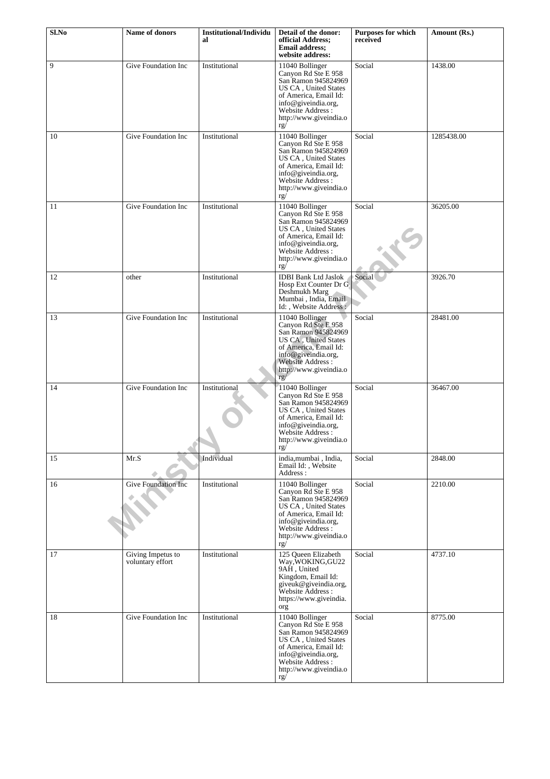| Sl.No | Name of donors                        | <b>Institutional/Individu</b><br>al | Detail of the donor:<br>official Address;<br><b>Email address:</b><br>website address:                                                                                                             | Purposes for which<br>received | Amount (Rs.) |
|-------|---------------------------------------|-------------------------------------|----------------------------------------------------------------------------------------------------------------------------------------------------------------------------------------------------|--------------------------------|--------------|
| 9     | Give Foundation Inc                   | Institutional                       | 11040 Bollinger<br>Canyon Rd Ste E 958<br>San Ramon 945824969<br>US CA, United States<br>of America, Email Id:<br>info@giveindia.org,<br>Website Address:<br>http://www.giveindia.o<br>rg/         | Social                         | 1438.00      |
| 10    | Give Foundation Inc                   | Institutional                       | 11040 Bollinger<br>Canyon Rd Ste E 958<br>San Ramon 945824969<br>US CA, United States<br>of America, Email Id:<br>info@giveindia.org,<br>Website Address:<br>http://www.giveindia.o<br>rg/         | Social                         | 1285438.00   |
| 11    | Give Foundation Inc                   | Institutional                       | 11040 Bollinger<br>Canyon Rd Ste E 958<br>San Ramon 945824969<br>US CA, United States<br>of America, Email Id:<br>info@giveindia.org,<br>Website Address :<br>http://www.giveindia.o<br>rg/        | Social                         | 36205.00     |
| 12    | other                                 | Institutional                       | <b>IDBI Bank Ltd Jaslok</b><br>Hosp Ext Counter Dr G<br>Deshmukh Marg<br>Mumbai, India, Email<br>Id:, Website Address:                                                                             | Social                         | 3926.70      |
| 13    | Give Foundation Inc                   | Institutional                       | 11040 Bollinger<br>Canyon Rd Ste E 958<br>San Ramon 945824969<br><b>US CA</b> , United States<br>of America, Email Id:<br>info@giveindia.org,<br>Website Address:<br>http://www.giveindia.o<br>rg/ | Social                         | 28481.00     |
| 14    | Give Foundation Inc                   | Institutional                       | 11040 Bollinger<br>Canyon Rd Ste E 958<br>San Ramon 945824969<br>US CA, United States<br>of America, Email Id:<br>info@giveindia.org,<br>Website Address:<br>http://www.giveindia.o<br>rg/         | Social                         | 36467.00     |
| 15    | Mr.S                                  | Individual                          | india, mumbai, India,<br>Email Id:, Website<br>Address:                                                                                                                                            | Social                         | 2848.00      |
| 16    | Give Foundation Inc                   | Institutional                       | 11040 Bollinger<br>Canyon Rd Ste E 958<br>San Ramon 945824969<br>US CA, United States<br>of America, Email Id:<br>info@giveindia.org,<br>Website Address:<br>http://www.giveindia.o<br>rg/         | Social                         | 2210.00      |
| 17    | Giving Impetus to<br>voluntary effort | Institutional                       | 125 Oueen Elizabeth<br>Way, WOKING, GU22<br>9AH, United<br>Kingdom, Email Id:<br>giveuk@giveindia.org,<br>Website Address:<br>https://www.giveindia.<br>org                                        | Social                         | 4737.10      |
| 18    | Give Foundation Inc                   | Institutional                       | 11040 Bollinger<br>Canyon Rd Ste E 958<br>San Ramon 945824969<br>US CA, United States<br>of America, Email Id:<br>info@giveindia.org,<br>Website Address:<br>http://www.giveindia.o<br>rg/         | Social                         | 8775.00      |